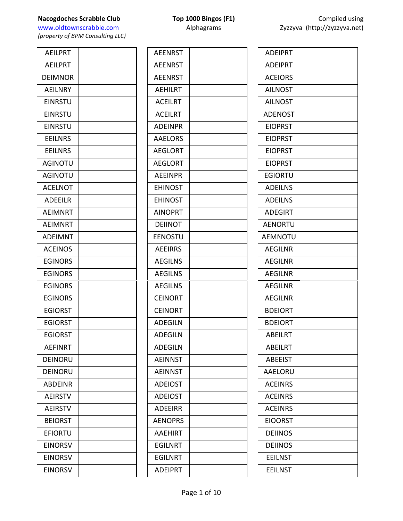www.oldtownscrabble.com Alphagrams Alphagrams Zyzzyva (http://zyzzyva.net) *(property of BPM Consulting LLC)*

**AEILPRT AEILPRT DEIMNOR AEILNRY** EINRSTU EINRSTU EINRSTU **EEILNRS EEILNRS AGINOTU AGINOTU** ACELNOT ADEEILR **AEIMNRT AEIMNRT ADEIMNT ACEINOS EGINORS EGINORS EGINORS EGINORS EGIORST EGIORST EGIORST AEFINRT** DEINORU DEINORU ABDEINR **AEIRSTV AEIRSTV BEIORST EFIORTU EINORSV EINORSV EINORSV** 

| <b>AEENRST</b> |  |
|----------------|--|
| <b>AEENRST</b> |  |
| <b>AEENRST</b> |  |
| <b>AEHILRT</b> |  |
| <b>ACEILRT</b> |  |
| <b>ACEILRT</b> |  |
| <b>ADEINPR</b> |  |
| <b>AAELORS</b> |  |
| <b>AEGLORT</b> |  |
| <b>AEGLORT</b> |  |
| <b>AEEINPR</b> |  |
| <b>EHINOST</b> |  |
| <b>EHINOST</b> |  |
| <b>AINOPRT</b> |  |
| <b>DEIINOT</b> |  |
| <b>EENOSTU</b> |  |
| <b>AEEIRRS</b> |  |
| <b>AEGILNS</b> |  |
| <b>AEGILNS</b> |  |
| <b>AEGILNS</b> |  |
| <b>CEINORT</b> |  |
| <b>CEINORT</b> |  |
| <b>ADEGILN</b> |  |
| <b>ADEGILN</b> |  |
| <b>ADEGILN</b> |  |
| <b>AEINNST</b> |  |
| <b>AEINNST</b> |  |
| <b>ADEIOST</b> |  |
| <b>ADEIOST</b> |  |
| <b>ADEEIRR</b> |  |
| <b>AENOPRS</b> |  |
| <b>AAEHIRT</b> |  |
| <b>EGILNRT</b> |  |
| <b>EGILNRT</b> |  |
| <b>ADEIPRT</b> |  |

| <b>ADEIPRT</b> |  |
|----------------|--|
| <b>ADEIPRT</b> |  |
| <b>ACEIORS</b> |  |
| <b>AILNOST</b> |  |
| <b>AILNOST</b> |  |
| <b>ADENOST</b> |  |
| <b>EIOPRST</b> |  |
| <b>EIOPRST</b> |  |
| <b>EIOPRST</b> |  |
| <b>EIOPRST</b> |  |
| <b>EGIORTU</b> |  |
| <b>ADEILNS</b> |  |
| <b>ADEILNS</b> |  |
| <b>ADEGIRT</b> |  |
| <b>AENORTU</b> |  |
| <b>AEMNOTU</b> |  |
| <b>AEGILNR</b> |  |
| <b>AEGILNR</b> |  |
| <b>AEGILNR</b> |  |
| <b>AEGILNR</b> |  |
| <b>AEGILNR</b> |  |
| <b>BDEIORT</b> |  |
| <b>BDEIORT</b> |  |
| ABEILRT        |  |
| <b>ABEILRT</b> |  |
| <b>ABEEIST</b> |  |
| <b>AAELORU</b> |  |
| <b>ACEINRS</b> |  |
| <b>ACEINRS</b> |  |
| <b>ACEINRS</b> |  |
| <b>EIOORST</b> |  |
| <b>DEIINOS</b> |  |
| <b>DEIINOS</b> |  |
| <b>EEILNST</b> |  |
| <b>EEILNST</b> |  |
|                |  |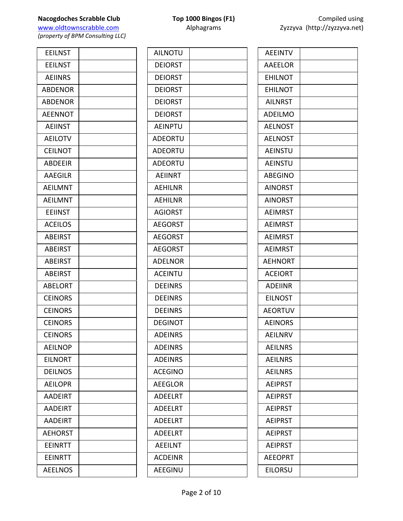| <b>EEILNST</b> |  |
|----------------|--|
| <b>EEILNST</b> |  |
| <b>AEIINRS</b> |  |
| <b>ABDENOR</b> |  |
| <b>ABDENOR</b> |  |
| <b>AEENNOT</b> |  |
| <b>AEIINST</b> |  |
| <b>AEILOTV</b> |  |
| <b>CEILNOT</b> |  |
| <b>ABDEEIR</b> |  |
| <b>AAEGILR</b> |  |
| <b>AEILMNT</b> |  |
| <b>AEILMNT</b> |  |
| <b>EEIINST</b> |  |
| <b>ACEILOS</b> |  |
| <b>ABEIRST</b> |  |
| <b>ABEIRST</b> |  |
| <b>ABEIRST</b> |  |
| <b>ABEIRST</b> |  |
| <b>ABELORT</b> |  |
| <b>CEINORS</b> |  |
| <b>CEINORS</b> |  |
| <b>CEINORS</b> |  |
| <b>CEINORS</b> |  |
| <b>AEILNOP</b> |  |
| <b>EILNORT</b> |  |
| <b>DEILNOS</b> |  |
| <b>AEILOPR</b> |  |
| <b>AADEIRT</b> |  |
| <b>AADEIRT</b> |  |
| <b>AADEIRT</b> |  |
| <b>AEHORST</b> |  |
| <b>EEINRTT</b> |  |
| <b>EEINRTT</b> |  |
| <b>AEELNOS</b> |  |

| <b>AILNOTU</b> |  |
|----------------|--|
| <b>DEIORST</b> |  |
| <b>DEIORST</b> |  |
| <b>DEIORST</b> |  |
| <b>DEIORST</b> |  |
| <b>DEIORST</b> |  |
| <b>AEINPTU</b> |  |
| <b>ADEORTU</b> |  |
| <b>ADEORTU</b> |  |
| <b>ADEORTU</b> |  |
| <b>AEIINRT</b> |  |
| <b>AEHILNR</b> |  |
| <b>AEHILNR</b> |  |
| <b>AGIORST</b> |  |
| <b>AEGORST</b> |  |
| <b>AEGORST</b> |  |
| <b>AEGORST</b> |  |
| <b>ADELNOR</b> |  |
| <b>ACEINTU</b> |  |
| <b>DEEINRS</b> |  |
| <b>DEEINRS</b> |  |
| <b>DEEINRS</b> |  |
| <b>DEGINOT</b> |  |
| ADEINRS        |  |
| <b>ADEINRS</b> |  |
| <b>ADEINRS</b> |  |
| <b>ACEGINO</b> |  |
| <b>AEEGLOR</b> |  |
| <b>ADEELRT</b> |  |
| <b>ADEELRT</b> |  |
| <b>ADEELRT</b> |  |
| <b>ADEELRT</b> |  |
| <b>AEEILNT</b> |  |
| <b>ACDEINR</b> |  |
| <b>AEEGINU</b> |  |
|                |  |

| <b>AEEINTV</b> |  |
|----------------|--|
| <b>AAEELOR</b> |  |
| <b>EHILNOT</b> |  |
| <b>EHILNOT</b> |  |
| <b>AILNRST</b> |  |
| <b>ADEILMO</b> |  |
| <b>AELNOST</b> |  |
| <b>AELNOST</b> |  |
| <b>AEINSTU</b> |  |
| <b>AEINSTU</b> |  |
| <b>ABEGINO</b> |  |
| <b>AINORST</b> |  |
| <b>AINORST</b> |  |
| <b>AEIMRST</b> |  |
| <b>AEIMRST</b> |  |
| <b>AEIMRST</b> |  |
| <b>AEIMRST</b> |  |
| <b>AEHNORT</b> |  |
| <b>ACEIORT</b> |  |
| <b>ADEIINR</b> |  |
| <b>EILNOST</b> |  |
| <b>AEORTUV</b> |  |
| <b>AEINORS</b> |  |
| AEILNRV        |  |
| <b>AEILNRS</b> |  |
| <b>AEILNRS</b> |  |
| <b>AEILNRS</b> |  |
| <b>AEIPRST</b> |  |
| <b>AEIPRST</b> |  |
| <b>AEIPRST</b> |  |
| <b>AEIPRST</b> |  |
| <b>AEIPRST</b> |  |
| <b>AEIPRST</b> |  |
| <b>AEEOPRT</b> |  |
| <b>EILORSU</b> |  |
|                |  |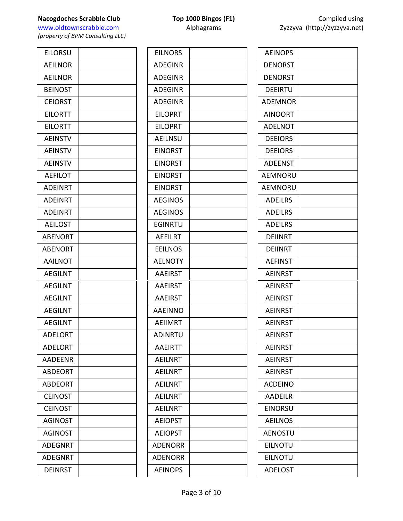| <b>EILORSU</b> |  |
|----------------|--|
| <b>AEILNOR</b> |  |
| <b>AEILNOR</b> |  |
| <b>BEINOST</b> |  |
| <b>CEIORST</b> |  |
|                |  |
| <b>EILORTT</b> |  |
| <b>EILORTT</b> |  |
| <b>AEINSTV</b> |  |
| <b>AEINSTV</b> |  |
| <b>AEINSTV</b> |  |
| <b>AEFILOT</b> |  |
| <b>ADEINRT</b> |  |
| <b>ADEINRT</b> |  |
| <b>ADEINRT</b> |  |
| <b>AEILOST</b> |  |
| <b>ABENORT</b> |  |
| <b>ABENORT</b> |  |
| <b>AAILNOT</b> |  |
| <b>AEGILNT</b> |  |
| <b>AEGILNT</b> |  |
| <b>AEGILNT</b> |  |
| <b>AEGILNT</b> |  |
| <b>AEGILNT</b> |  |
| <b>ADELORT</b> |  |
| <b>ADELORT</b> |  |
| <b>AADEENR</b> |  |
| <b>ABDEORT</b> |  |
| <b>ABDEORT</b> |  |
| <b>CEINOST</b> |  |
| <b>CEINOST</b> |  |
| <b>AGINOST</b> |  |
| <b>AGINOST</b> |  |
| <b>ADEGNRT</b> |  |
| <b>ADEGNRT</b> |  |
| <b>DEINRST</b> |  |
|                |  |

| <b>EILNORS</b> |  |
|----------------|--|
| <b>ADEGINR</b> |  |
| <b>ADEGINR</b> |  |
| <b>ADEGINR</b> |  |
| <b>ADEGINR</b> |  |
| <b>EILOPRT</b> |  |
| <b>EILOPRT</b> |  |
| <b>AEILNSU</b> |  |
| <b>EINORST</b> |  |
| <b>EINORST</b> |  |
| <b>EINORST</b> |  |
| <b>EINORST</b> |  |
| <b>AEGINOS</b> |  |
| <b>AEGINOS</b> |  |
| <b>EGINRTU</b> |  |
| <b>AEEILRT</b> |  |
| <b>EEILNOS</b> |  |
| <b>AELNOTY</b> |  |
| <b>AAEIRST</b> |  |
| <b>AAEIRST</b> |  |
| <b>AAEIRST</b> |  |
| <b>AAEINNO</b> |  |
| <b>AEIIMRT</b> |  |
| ADINRTU        |  |
| <b>AAEIRTT</b> |  |
| <b>AEILNRT</b> |  |
| <b>AEILNRT</b> |  |
| <b>AEILNRT</b> |  |
| <b>AEILNRT</b> |  |
| <b>AEILNRT</b> |  |
| <b>AEIOPST</b> |  |
| <b>AEIOPST</b> |  |
| <b>ADENORR</b> |  |
| <b>ADENORR</b> |  |
| <b>AEINOPS</b> |  |
|                |  |

| <b>Nacogdoches Scrabble Club</b> | <b>Top 1000 Bingos (F1)</b> | Compiled using               |
|----------------------------------|-----------------------------|------------------------------|
| www.oldtownscrabble.com          | <b>Alphagrams</b>           | Zyzzyva (http://zyzzyva.net) |
| .                                |                             |                              |

| <b>AEINOPS</b> |  |
|----------------|--|
| <b>DENORST</b> |  |
| <b>DENORST</b> |  |
| <b>DEEIRTU</b> |  |
| <b>ADEMNOR</b> |  |
| <b>AINOORT</b> |  |
| <b>ADELNOT</b> |  |
| <b>DEEIORS</b> |  |
| <b>DEEIORS</b> |  |
| <b>ADEENST</b> |  |
| AEMNORU        |  |
| AEMNORU        |  |
| <b>ADEILRS</b> |  |
| <b>ADEILRS</b> |  |
| <b>ADEILRS</b> |  |
| <b>DEIINRT</b> |  |
| <b>DEIINRT</b> |  |
| <b>AEFINST</b> |  |
| <b>AEINRST</b> |  |
| <b>AEINRST</b> |  |
| <b>AEINRST</b> |  |
| <b>AEINRST</b> |  |
| <b>AEINRST</b> |  |
| <b>AEINRST</b> |  |
| <b>AEINRST</b> |  |
| <b>AEINRST</b> |  |
| <b>AEINRST</b> |  |
| <b>ACDEINO</b> |  |
| <b>AADEILR</b> |  |
| <b>EINORSU</b> |  |
| <b>AEILNOS</b> |  |
| <b>AENOSTU</b> |  |
| <b>EILNOTU</b> |  |
| EILNOTU        |  |
| <b>ADELOST</b> |  |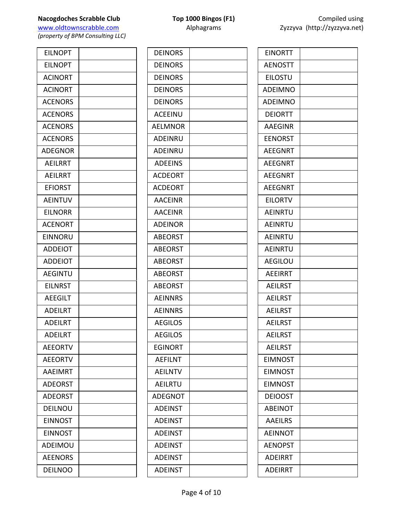**Nacogdoches Scrabble Club Top 1000 Bingos (F1)** COMPING USING USING USING USING USING USING USING USING USING USING USING USING USING USING USING USING USING USING USING USING USING USING USING USING USING USING USING U www.oldtownscrabble.com Alphagrams Zyzzyva (http://zyzzyvan.net/2yzyvan.net/2yzyvan.net/2yzyvan.net

| <b>EILNOPT</b> |  |
|----------------|--|
| <b>EILNOPT</b> |  |
| <b>ACINORT</b> |  |
| <b>ACINORT</b> |  |
| <b>ACENORS</b> |  |
| <b>ACENORS</b> |  |
| <b>ACENORS</b> |  |
| <b>ACENORS</b> |  |
| <b>ADEGNOR</b> |  |
| <b>AEILRRT</b> |  |
| <b>AEILRRT</b> |  |
| <b>EFIORST</b> |  |
| <b>AEINTUV</b> |  |
| <b>EILNORR</b> |  |
| <b>ACENORT</b> |  |
| <b>EINNORU</b> |  |
| <b>ADDEIOT</b> |  |
| <b>ADDEIOT</b> |  |
| <b>AEGINTU</b> |  |
| <b>EILNRST</b> |  |
| <b>AEEGILT</b> |  |
| <b>ADEILRT</b> |  |
| <b>ADEILRT</b> |  |
| <b>ADEILRT</b> |  |
| <b>AEEORTV</b> |  |
| <b>AEEORTV</b> |  |
| <b>AAEIMRT</b> |  |
| <b>ADEORST</b> |  |
| <b>ADEORST</b> |  |
| <b>DEILNOU</b> |  |
| <b>EINNOST</b> |  |
| <b>EINNOST</b> |  |
| ADEIMOU        |  |
| <b>AEENORS</b> |  |
| <b>DEILNOO</b> |  |

| Compiled using               |
|------------------------------|
| Zyzzyva (http://zyzzyva.net) |

| <b>EINORTT</b> |  |
|----------------|--|
| <b>AENOSTT</b> |  |
| <b>EILOSTU</b> |  |
| <b>ADEIMNO</b> |  |
| <b>ADEIMNO</b> |  |
| <b>DEIORTT</b> |  |
| <b>AAEGINR</b> |  |
| <b>EENORST</b> |  |
| <b>AEEGNRT</b> |  |
| <b>AEEGNRT</b> |  |
| <b>AEEGNRT</b> |  |
| <b>AEEGNRT</b> |  |
| <b>EILORTV</b> |  |
| <b>AEINRTU</b> |  |
| AEINRTU        |  |
| <b>AEINRTU</b> |  |
| <b>AEINRTU</b> |  |
| <b>AEGILOU</b> |  |
| <b>AEEIRRT</b> |  |
| <b>AEILRST</b> |  |
| <b>AEILRST</b> |  |
| <b>AEILRST</b> |  |
| <b>AEILRST</b> |  |
| <b>AEILRST</b> |  |
| <b>AEILRST</b> |  |
| <b>EIMNOST</b> |  |
| <b>EIMNOST</b> |  |
| <b>EIMNOST</b> |  |
| <b>DEIOOST</b> |  |
| <b>ABEINOT</b> |  |
| <b>AAEILRS</b> |  |
| <b>AEINNOT</b> |  |
| <b>AENOPST</b> |  |
| <b>ADEIRRT</b> |  |
| <b>ADEIRRT</b> |  |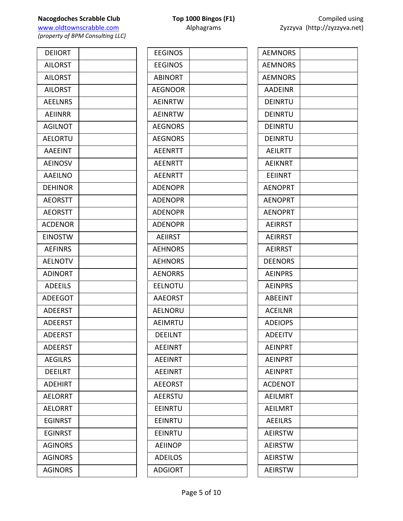| <b>DEIIORT</b> |  |
|----------------|--|
| <b>AILORST</b> |  |
| <b>AILORST</b> |  |
| <b>AILORST</b> |  |
| <b>AEELNRS</b> |  |
| <b>AEIINRR</b> |  |
| <b>AGILNOT</b> |  |
| <b>AELORTU</b> |  |
| <b>AAEEINT</b> |  |
| <b>AEINOSV</b> |  |
| <b>AAEILNO</b> |  |
| <b>DEHINOR</b> |  |
| <b>AEORSTT</b> |  |
| <b>AEORSTT</b> |  |
| <b>ACDENOR</b> |  |
| <b>EINOSTW</b> |  |
| <b>AEFINRS</b> |  |
| <b>AELNOTV</b> |  |
| <b>ADINORT</b> |  |
| <b>ADEEILS</b> |  |
| <b>ADEEGOT</b> |  |
| <b>ADEERST</b> |  |
| <b>ADEERST</b> |  |
| <b>ADEERST</b> |  |
| <b>ADEERST</b> |  |
| <b>AEGILRS</b> |  |
| <b>DEEILRT</b> |  |
| <b>ADEHIRT</b> |  |
| <b>AELORRT</b> |  |
| <b>AELORRT</b> |  |
| <b>EGINRST</b> |  |
| <b>EGINRST</b> |  |
| <b>AGINORS</b> |  |
| <b>AGINORS</b> |  |
| <b>AGINORS</b> |  |

| <b>EEGINOS</b> |  |
|----------------|--|
| <b>EEGINOS</b> |  |
| <b>ABINORT</b> |  |
| <b>AEGNOOR</b> |  |
| <b>AEINRTW</b> |  |
| <b>AEINRTW</b> |  |
| <b>AEGNORS</b> |  |
| <b>AEGNORS</b> |  |
| <b>AEENRTT</b> |  |
| <b>AEENRTT</b> |  |
| <b>AEENRTT</b> |  |
| <b>ADENOPR</b> |  |
| <b>ADENOPR</b> |  |
| <b>ADENOPR</b> |  |
| <b>ADENOPR</b> |  |
| <b>AEIIRST</b> |  |
| <b>AEHNORS</b> |  |
| <b>AEHNORS</b> |  |
| <b>AENORRS</b> |  |
| <b>EELNOTU</b> |  |
| <b>AAEORST</b> |  |
| <b>AELNORU</b> |  |
| <b>AEIMRTU</b> |  |
| DEEILNT        |  |
| <b>AEEINRT</b> |  |
| <b>AEEINRT</b> |  |
| <b>AEEINRT</b> |  |
| <b>AEEORST</b> |  |
| <b>AEERSTU</b> |  |
| EEINRTU        |  |
| <b>EEINRTU</b> |  |
| <b>EEINRTU</b> |  |
| <b>AEIINOP</b> |  |
| <b>ADEILOS</b> |  |
| <b>ADGIORT</b> |  |

Page 5 of 10

| <b>AEMNORS</b> |  |
|----------------|--|
| <b>AEMNORS</b> |  |
| <b>AEMNORS</b> |  |
| <b>AADEINR</b> |  |
| <b>DEINRTU</b> |  |
| DEINRTU        |  |
| <b>DEINRTU</b> |  |
| <b>DEINRTU</b> |  |
| <b>AEILRTT</b> |  |
| <b>AEIKNRT</b> |  |
| EEIINRT        |  |
| <b>AENOPRT</b> |  |
| <b>AENOPRT</b> |  |
| <b>AENOPRT</b> |  |
| <b>AEIRRST</b> |  |
| <b>AEIRRST</b> |  |
| <b>AEIRRST</b> |  |
| <b>DEENORS</b> |  |
| <b>AEINPRS</b> |  |
| <b>AEINPRS</b> |  |
| <b>ABEEINT</b> |  |
| <b>ACEILNR</b> |  |
| <b>ADEIOPS</b> |  |
| ADEEITV        |  |
| <b>AEINPRT</b> |  |
| <b>AEINPRT</b> |  |
| <b>AEINPRT</b> |  |
| <b>ACDENOT</b> |  |
| <b>AEILMRT</b> |  |
| <b>AEILMRT</b> |  |
| <b>AEEILRS</b> |  |
| <b>AEIRSTW</b> |  |
| <b>AEIRSTW</b> |  |
| <b>AEIRSTW</b> |  |
| <b>AEIRSTW</b> |  |
|                |  |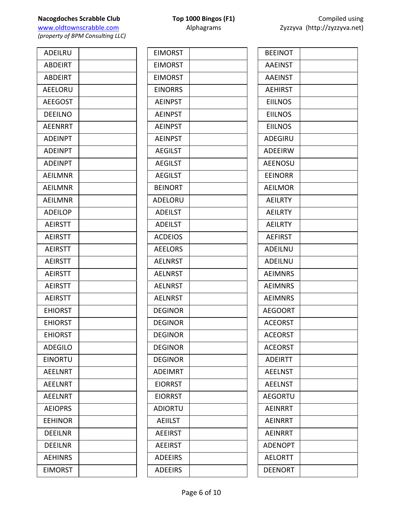www.oldtownscrabble.com Alphagrams Alphagrams Zyzzyva (http://zyzzyva.net) *(property of BPM Consulting LLC)*

ADEILRU ABDEIRT ABDEIRT AEELORU **AEEGOST** DEEILNO **AEENRRT ADEINPT ADEINPT ADEINPT AEILMNR** AEILMNR AEILMNR ADEILOP **AEIRSTT AEIRSTT AEIRSTT AEIRSTT AEIRSTT AEIRSTT AEIRSTT** EHIORST **EHIORST EHIORST** ADEGILO **EINORTU** AEELNRT AEELNRT **AEELNRT AEIOPRS EEHINOR** DEEILNR DEEILNR AEHINRS EIMORST

| <b>EIMORST</b> |  |
|----------------|--|
| <b>EIMORST</b> |  |
| <b>EIMORST</b> |  |
| <b>EINORRS</b> |  |
| <b>AEINPST</b> |  |
| <b>AEINPST</b> |  |
| <b>AEINPST</b> |  |
| <b>AEINPST</b> |  |
| <b>AEGILST</b> |  |
| <b>AEGILST</b> |  |
| <b>AEGILST</b> |  |
| <b>BEINORT</b> |  |
| ADELORU        |  |
| <b>ADEILST</b> |  |
| <b>ADEILST</b> |  |
| <b>ACDEIOS</b> |  |
| <b>AEELORS</b> |  |
| <b>AELNRST</b> |  |
| <b>AELNRST</b> |  |
| <b>AELNRST</b> |  |
| <b>AELNRST</b> |  |
| <b>DEGINOR</b> |  |
| <b>DEGINOR</b> |  |
| DFGINOR        |  |
| <b>DEGINOR</b> |  |
| <b>DEGINOR</b> |  |
| <b>ADEIMRT</b> |  |
| <b>EIORRST</b> |  |
| <b>EIORRST</b> |  |
| <b>ADIORTU</b> |  |
| <b>AEIILST</b> |  |
| <b>AEEIRST</b> |  |
| <b>AEEIRST</b> |  |
| <b>ADEEIRS</b> |  |
| <b>ADEEIRS</b> |  |
|                |  |

| <b>BEEINOT</b> |  |
|----------------|--|
| <b>AAEINST</b> |  |
| <b>AAEINST</b> |  |
| <b>AEHIRST</b> |  |
| <b>EIILNOS</b> |  |
| <b>EIILNOS</b> |  |
| <b>EIILNOS</b> |  |
| <b>ADEGIRU</b> |  |
| <b>ADEEIRW</b> |  |
| <b>AEENOSU</b> |  |
| <b>EEINORR</b> |  |
| <b>AEILMOR</b> |  |
| <b>AEILRTY</b> |  |
| <b>AEILRTY</b> |  |
| <b>AEILRTY</b> |  |
| <b>AEFIRST</b> |  |
| ADEILNU        |  |
| ADEILNU        |  |
| <b>AEIMNRS</b> |  |
| <b>AEIMNRS</b> |  |
| <b>AEIMNRS</b> |  |
| <b>AEGOORT</b> |  |
| <b>ACEORST</b> |  |
| <b>ACEORST</b> |  |
| <b>ACEORST</b> |  |
| <b>ADEIRTT</b> |  |
| <b>AEELNST</b> |  |
| <b>AEELNST</b> |  |
| <b>AEGORTU</b> |  |
| <b>AEINRRT</b> |  |
| <b>AEINRRT</b> |  |
| <b>AEINRRT</b> |  |
| <b>ADENOPT</b> |  |
| <b>AELORTT</b> |  |
| DEENORT        |  |
|                |  |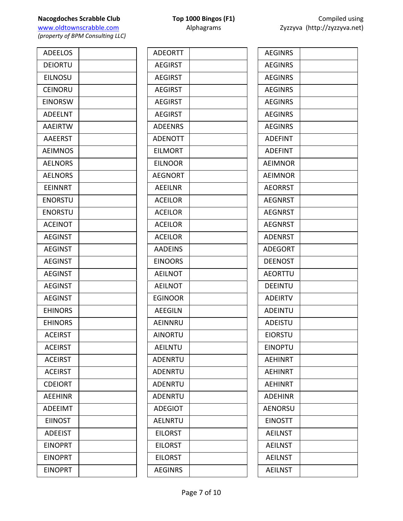# **Nacogdoches Scrabble Club Top 1000 Bingos (F1)** Compiled using

www.oldtownscrabble.com Alphagrams Alphagrams Zyzzyva (http://zyzzyva.net) *(property of BPM Consulting LLC)*

ADEELOS DEIORTU EILNOSU **CEINORU EINORSW** ADEELNT **AAEIRTW AAEERST AEIMNOS AELNORS AELNORS** EEINNRT ENORSTU ENORSTU **ACEINOT AEGINST** AEGINST **AEGINST AEGINST AEGINST AEGINST EHINORS EHINORS ACEIRST ACEIRST ACEIRST ACEIRST CDEIORT AEEHINR ADEEIMT EIINOST** ADEEIST **EINOPRT EINOPRT EINOPRT** 

| <b>ADEORTT</b> |  |
|----------------|--|
| <b>AEGIRST</b> |  |
| <b>AEGIRST</b> |  |
| <b>AEGIRST</b> |  |
| <b>AEGIRST</b> |  |
| <b>AEGIRST</b> |  |
| <b>ADEENRS</b> |  |
| <b>ADENOTT</b> |  |
| <b>EILMORT</b> |  |
| <b>EILNOOR</b> |  |
| <b>AEGNORT</b> |  |
| <b>AEEILNR</b> |  |
| <b>ACEILOR</b> |  |
| <b>ACEILOR</b> |  |
| <b>ACEILOR</b> |  |
| <b>ACEILOR</b> |  |
| <b>AADEINS</b> |  |
| <b>EINOORS</b> |  |
| <b>AEILNOT</b> |  |
| <b>AEILNOT</b> |  |
| <b>EGINOOR</b> |  |
| <b>AEEGILN</b> |  |
| AEINNRU        |  |
| AINORTU        |  |
| <b>AEILNTU</b> |  |
| <b>ADENRTU</b> |  |
| <b>ADENRTU</b> |  |
| ADENRTU        |  |
| <b>ADENRTU</b> |  |
| <b>ADEGIOT</b> |  |
| AELNRTU        |  |
| <b>EILORST</b> |  |
| <b>EILORST</b> |  |
| <b>EILORST</b> |  |
| <b>AEGINRS</b> |  |
|                |  |

| <b>AEGINRS</b> |  |
|----------------|--|
| <b>AEGINRS</b> |  |
| <b>AEGINRS</b> |  |
| <b>AEGINRS</b> |  |
| <b>AEGINRS</b> |  |
| <b>AEGINRS</b> |  |
| <b>AEGINRS</b> |  |
| <b>ADEFINT</b> |  |
| <b>ADEFINT</b> |  |
| <b>AEIMNOR</b> |  |
| <b>AEIMNOR</b> |  |
| <b>AEORRST</b> |  |
| <b>AEGNRST</b> |  |
| <b>AEGNRST</b> |  |
| <b>AEGNRST</b> |  |
| <b>ADENRST</b> |  |
| <b>ADEGORT</b> |  |
| <b>DEENOST</b> |  |
| <b>AEORTTU</b> |  |
| <b>DEEINTU</b> |  |
| <b>ADEIRTV</b> |  |
| <b>ADEINTU</b> |  |
| <b>ADEISTU</b> |  |
| EIORSTU        |  |
| <b>EINOPTU</b> |  |
| <b>AEHINRT</b> |  |
| <b>AEHINRT</b> |  |
| <b>AEHINRT</b> |  |
| <b>ADEHINR</b> |  |
| <b>AENORSU</b> |  |
| <b>EINOSTT</b> |  |
| <b>AEILNST</b> |  |
| <b>AEILNST</b> |  |
| <b>AEILNST</b> |  |
| <b>AEILNST</b> |  |
|                |  |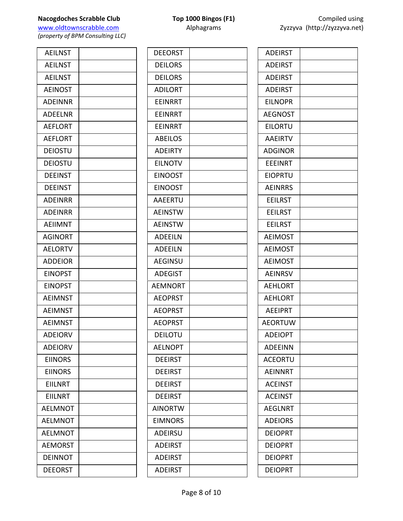| <b>AEILNST</b> |  |
|----------------|--|
| <b>AEILNST</b> |  |
| <b>AEILNST</b> |  |
| <b>AEINOST</b> |  |
| <b>ADEINNR</b> |  |
| <b>ADEELNR</b> |  |
| <b>AEFLORT</b> |  |
| <b>AEFLORT</b> |  |
| <b>DEIOSTU</b> |  |
| DEIOSTU        |  |
| <b>DEEINST</b> |  |
| <b>DEEINST</b> |  |
| <b>ADEINRR</b> |  |
| <b>ADEINRR</b> |  |
| <b>AEIIMNT</b> |  |
| <b>AGINORT</b> |  |
| <b>AELORTV</b> |  |
| <b>ADDEIOR</b> |  |
| <b>EINOPST</b> |  |
| <b>EINOPST</b> |  |
| <b>AEIMNST</b> |  |
| <b>AEIMNST</b> |  |
| <b>AEIMNST</b> |  |
| <b>ADEIORV</b> |  |
| <b>ADEIORV</b> |  |
| <b>EIINORS</b> |  |
| <b>EIINORS</b> |  |
| EIILNRT        |  |
| <b>EIILNRT</b> |  |
| <b>AELMNOT</b> |  |
| <b>AELMNOT</b> |  |
| <b>AELMNOT</b> |  |
| <b>AEMORST</b> |  |
| <b>DEINNOT</b> |  |
| <b>DEEORST</b> |  |

| <b>DEEORST</b> |  |
|----------------|--|
| <b>DEILORS</b> |  |
| <b>DEILORS</b> |  |
| <b>ADILORT</b> |  |
| <b>EEINRRT</b> |  |
| <b>EEINRRT</b> |  |
| <b>EEINRRT</b> |  |
| <b>ABEILOS</b> |  |
| <b>ADEIRTY</b> |  |
| <b>EILNOTV</b> |  |
| <b>EINOOST</b> |  |
| <b>EINOOST</b> |  |
| AAEERTU        |  |
| <b>AEINSTW</b> |  |
| <b>AEINSTW</b> |  |
| <b>ADEEILN</b> |  |
| <b>ADEEILN</b> |  |
| <b>AEGINSU</b> |  |
| <b>ADEGIST</b> |  |
| <b>AEMNORT</b> |  |
| <b>AEOPRST</b> |  |
| <b>AEOPRST</b> |  |
| <b>AEOPRST</b> |  |
| DEILOTU        |  |
| <b>AELNOPT</b> |  |
| <b>DEEIRST</b> |  |
| <b>DEEIRST</b> |  |
| <b>DEEIRST</b> |  |
| <b>DEEIRST</b> |  |
| <b>AINORTW</b> |  |
| <b>EIMNORS</b> |  |
| ADEIRSU        |  |
| <b>ADEIRST</b> |  |
| <b>ADEIRST</b> |  |
| <b>ADEIRST</b> |  |
|                |  |

| <b>ADEIRST</b> |  |
|----------------|--|
| <b>ADEIRST</b> |  |
| <b>ADEIRST</b> |  |
| <b>ADEIRST</b> |  |
| <b>EILNOPR</b> |  |
| <b>AEGNOST</b> |  |
| <b>EILORTU</b> |  |
| <b>AAEIRTV</b> |  |
| <b>ADGINOR</b> |  |
| <b>EEEINRT</b> |  |
| <b>EIOPRTU</b> |  |
| <b>AEINRRS</b> |  |
| <b>EEILRST</b> |  |
| <b>EEILRST</b> |  |
| <b>EEILRST</b> |  |
| <b>AEIMOST</b> |  |
| <b>AEIMOST</b> |  |
| <b>AEIMOST</b> |  |
| <b>AEINRSV</b> |  |
| <b>AEHLORT</b> |  |
| <b>AEHLORT</b> |  |
| <b>AEEIPRT</b> |  |
| <b>AEORTUW</b> |  |
| <b>ADEIOPT</b> |  |
| <b>ADEEINN</b> |  |
| <b>ACEORTU</b> |  |
| <b>AEINNRT</b> |  |
| <b>ACEINST</b> |  |
| <b>ACEINST</b> |  |
| <b>AEGLNRT</b> |  |
| <b>ADEIORS</b> |  |
| <b>DEIOPRT</b> |  |
| <b>DEIOPRT</b> |  |
| <b>DEIOPRT</b> |  |
| <b>DEIOPRT</b> |  |
|                |  |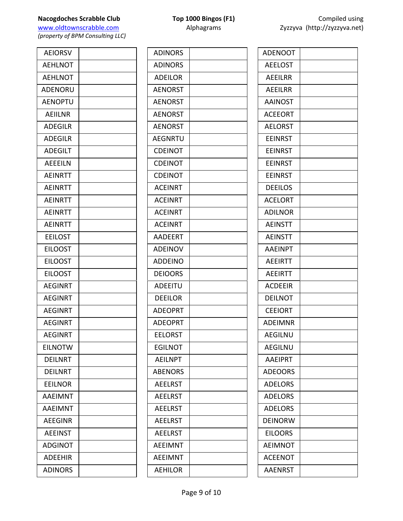**Nacogdoches Scrabble Club Top 1000 Bingos (F1)** Compiled using<br>
Www.oldtownscrabble.com **Compiled Example 2yzzyva** (http://zyzzyva.net)

*(property of BPM Consulting LLC)*

| <b>ADINORS</b> |  |
|----------------|--|
| <b>ADINORS</b> |  |
| <b>ADEILOR</b> |  |
| <b>AENORST</b> |  |
| <b>AENORST</b> |  |
| <b>AENORST</b> |  |
| <b>AENORST</b> |  |
| <b>AEGNRTU</b> |  |
| <b>CDEINOT</b> |  |
| <b>CDEINOT</b> |  |
| <b>CDEINOT</b> |  |
| <b>ACEINRT</b> |  |
| <b>ACEINRT</b> |  |
| <b>ACEINRT</b> |  |
| <b>ACEINRT</b> |  |
| <b>AADEERT</b> |  |
| <b>ADEINOV</b> |  |
| <b>ADDEINO</b> |  |
| <b>DEIOORS</b> |  |
| <b>ADEEITU</b> |  |
| <b>DEEILOR</b> |  |
| <b>ADEOPRT</b> |  |
| <b>ADEOPRT</b> |  |
| <b>EELORST</b> |  |
| <b>EGILNOT</b> |  |
| <b>AEILNPT</b> |  |
| <b>ABENORS</b> |  |
| <b>AEELRST</b> |  |
| <b>AEELRST</b> |  |
| <b>AEELRST</b> |  |
| <b>AEELRST</b> |  |
| <b>AEELRST</b> |  |
| <b>AEEIMNT</b> |  |
| <b>AEEIMNT</b> |  |
| <b>AEHILOR</b> |  |

| <b>ADENOOT</b> |  |
|----------------|--|
| <b>AEELOST</b> |  |
| AEEILRR        |  |
| <b>AEEILRR</b> |  |
| <b>AAINOST</b> |  |
| <b>ACEEORT</b> |  |
| <b>AELORST</b> |  |
| <b>EEINRST</b> |  |
| <b>EEINRST</b> |  |
| <b>EEINRST</b> |  |
| <b>EEINRST</b> |  |
| <b>DEEILOS</b> |  |
| <b>ACELORT</b> |  |
| <b>ADILNOR</b> |  |
| <b>AEINSTT</b> |  |
| <b>AEINSTT</b> |  |
| <b>AAEINPT</b> |  |
| <b>AEEIRTT</b> |  |
| <b>AEEIRTT</b> |  |
| <b>ACDEEIR</b> |  |
| <b>DEILNOT</b> |  |
| <b>CEEIORT</b> |  |
| <b>ADEIMNR</b> |  |
| AEGILNU        |  |
| <b>AEGILNU</b> |  |
| <b>AAEIPRT</b> |  |
| <b>ADEOORS</b> |  |
| <b>ADELORS</b> |  |
| <b>ADELORS</b> |  |
| <b>ADELORS</b> |  |
| <b>DEINORW</b> |  |
| <b>EILOORS</b> |  |
| <b>AEIMNOT</b> |  |
| <b>ACEENOT</b> |  |
| <b>AAENRST</b> |  |
|                |  |

Zyzzyva (http://zyzzyva.net)